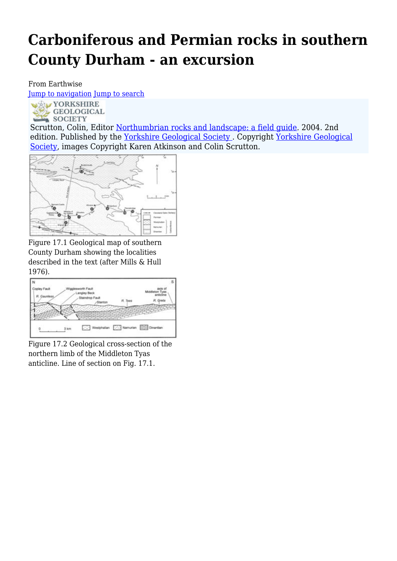# **Carboniferous and Permian rocks in southern County Durham - an excursion**

#### From Earthwise

[Jump to navigation](#page--1-0) [Jump to search](#page--1-0)



Scrutton, Colin, Editor [Northumbrian rocks and landscape: a field guide](http://earthwise.bgs.ac.uk/index.php/Northumbrian_rocks_and_landscape:_a_field_guide). 2004. 2nd edition. Published by the [Yorkshire Geological](https://www.yorksgeolsoc.org.uk) Society. Copyright Yorkshire Geological [Society,](https://www.yorksgeolsoc.org.uk) images Copyright Karen Atkinson and Colin Scrutton.



Figure 17.1 Geological map of southern County Durham showing the localities described in the text (after Mills & Hull 1976).



Figure 17.2 Geological cross-section of the northern limb of the Middleton Tyas anticline. Line of section on Fig. 17.1.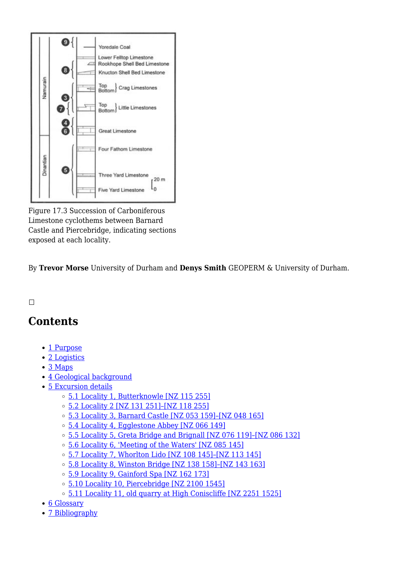

Figure 17.3 Succession of Carboniferous Limestone cyclothems between Barnard Castle and Piercebridge, indicating sections exposed at each locality.

By **Trevor Morse** University of Durham and **Denys Smith** GEOPERM & University of Durham.

#### $\overline{\phantom{a}}$

# **Contents**

- [1](#page--1-0) [Purpose](#page--1-0)
- [2](#page--1-0) [Logistics](#page--1-0)
- [3](#page--1-0) [Maps](#page--1-0)
- [4](#page--1-0) [Geological background](#page--1-0)
- [5](#page--1-0) [Excursion details](#page--1-0)
	- [5.1](#Locality_1.2C_Butterknowle_.5BNZ_115_255.5D) [Locality 1, Butterknowle \[NZ 115 255\]](#Locality_1.2C_Butterknowle_.5BNZ_115_255.5D)
	- [5.2](#Locality_2_.5BNZ_131_251.5D.E2.80.93.5BNZ_118_255.5D) [Locality 2 \[NZ 131 251\]–\[NZ 118 255\]](#Locality_2_.5BNZ_131_251.5D.E2.80.93.5BNZ_118_255.5D)
	- [5.3](#Locality_3.2C_Barnard_Castle_.5BNZ_053_159.5D.E2.80.93.5BNZ_048_165.5D) [Locality 3, Barnard Castle \[NZ 053 159\]–\[NZ 048 165\]](#Locality_3.2C_Barnard_Castle_.5BNZ_053_159.5D.E2.80.93.5BNZ_048_165.5D)
	- <sup>o</sup> [5.4](#Locality_4.2C_Egglestone_Abbey_.5BNZ_066_149.5D) [Locality 4, Egglestone Abbey \[NZ 066 149\]](#Locality_4.2C_Egglestone_Abbey_.5BNZ_066_149.5D)
	- $\,\circ\,$  [5.5](#Locality_5.2C_Greta_Bridge_and_Brignall_.5BNZ_076_119.5D.E2.80.93.5BNZ_086_132.5D) Locality 5, Greta Bridge and Brignall [NZ 076 119]-[NZ 086 132]
	- [5.6](#Locality_6.2C_.27Meeting_of_the_Waters.27_.5BNZ_085_145.5D) [Locality 6, 'Meeting of the Waters' \[NZ 085 145\]](#Locality_6.2C_.27Meeting_of_the_Waters.27_.5BNZ_085_145.5D)
	- [5.7](#Locality_7.2C_Whorlton_Lido_.5BNZ_108_145.5D.E2.80.93.5BNZ_113_145.5D) [Locality 7, Whorlton Lido \[NZ 108 145\]–\[NZ 113 145\]](#Locality_7.2C_Whorlton_Lido_.5BNZ_108_145.5D.E2.80.93.5BNZ_113_145.5D)
	- [5.8](#Locality_8.2C_Winston_Bridge_.5BNZ_138_158.5D.E2.80.93.5BNZ_143_163.5D) [Locality 8, Winston Bridge \[NZ 138 158\]–\[NZ 143 163\]](#Locality_8.2C_Winston_Bridge_.5BNZ_138_158.5D.E2.80.93.5BNZ_143_163.5D)
	- [5.9](#Locality_9.2C_Gainford_Spa_.5BNZ_162_173.5D) [Locality 9, Gainford Spa \[NZ 162 173\]](#Locality_9.2C_Gainford_Spa_.5BNZ_162_173.5D)
	- o [5.10](#Locality_10.2C_Piercebridge_.5BNZ_2100_1545.5D) [Locality 10, Piercebridge \[NZ 2100 1545\]](#Locality_10.2C_Piercebridge_.5BNZ_2100_1545.5D)
	- <sup>o</sup> [5.11](#Locality_11.2C_old_quarry_at_High_Coniscliffe_.5BNZ_2251_1525.5D) [Locality 11, old quarry at High Coniscliffe \[NZ 2251 1525\]](#Locality_11.2C_old_quarry_at_High_Coniscliffe_.5BNZ_2251_1525.5D)
- [6](#page--1-0) [Glossary](#page--1-0)
- [7](#page--1-0) [Bibliography](#page--1-0)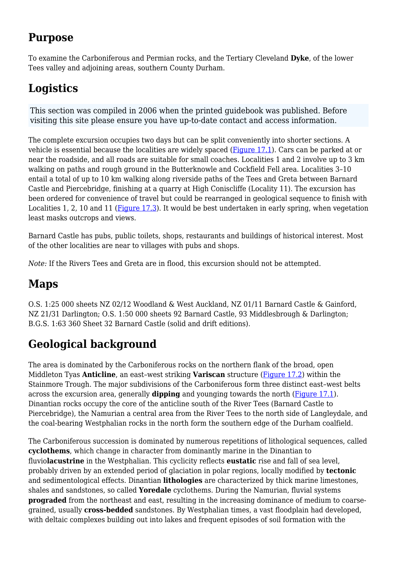# **Purpose**

To examine the Carboniferous and Permian rocks, and the Tertiary Cleveland **Dyke**, of the lower Tees valley and adjoining areas, southern County Durham.

# **Logistics**

This section was compiled in 2006 when the printed guidebook was published. Before visiting this site please ensure you have up-to-date contact and access information.

The complete excursion occupies two days but can be split conveniently into shorter sections. A vehicle is essential because the localities are widely spaced [\(Figure 17.1\)](http://earthwise.bgs.ac.uk/index.php/File:YGS_NORTROCK_FIG_17_1.jpg). Cars can be parked at or near the roadside, and all roads are suitable for small coaches. Localities 1 and 2 involve up to 3 km walking on paths and rough ground in the Butterknowle and Cockfield Fell area. Localities 3–10 entail a total of up to 10 km walking along riverside paths of the Tees and Greta between Barnard Castle and Piercebridge, finishing at a quarry at High Coniscliffe (Locality 11). The excursion has been ordered for convenience of travel but could be rearranged in geological sequence to finish with Localities 1, 2, 10 and 11 [\(Figure 17.3\)](http://earthwise.bgs.ac.uk/index.php/File:YGS_NORTROCK_FIG_17_3.jpg). It would be best undertaken in early spring, when vegetation least masks outcrops and views.

Barnard Castle has pubs, public toilets, shops, restaurants and buildings of historical interest. Most of the other localities are near to villages with pubs and shops.

*Note:* If the Rivers Tees and Greta are in flood, this excursion should not be attempted.

# **Maps**

O.S. 1:25 000 sheets NZ 02/12 Woodland & West Auckland, NZ 01/11 Barnard Castle & Gainford, NZ 21/31 Darlington; O.S. 1:50 000 sheets 92 Barnard Castle, 93 Middlesbrough & Darlington; B.G.S. 1:63 360 Sheet 32 Barnard Castle (solid and drift editions).

# **Geological background**

The area is dominated by the Carboniferous rocks on the northern flank of the broad, open Middleton Tyas **Anticline**, an east–west striking **Variscan** structure [\(Figure 17.2\)](http://earthwise.bgs.ac.uk/index.php/File:YGS_NORTROCK_FIG_17_2.jpg) within the Stainmore Trough. The major subdivisions of the Carboniferous form three distinct east–west belts across the excursion area, generally **dipping** and younging towards the north [\(Figure 17.1\)](http://earthwise.bgs.ac.uk/index.php/File:YGS_NORTROCK_FIG_17_1.jpg). Dinantian rocks occupy the core of the anticline south of the River Tees (Barnard Castle to Piercebridge), the Namurian a central area from the River Tees to the north side of Langleydale, and the coal-bearing Westphalian rocks in the north form the southern edge of the Durham coalfield.

The Carboniferous succession is dominated by numerous repetitions of lithological sequences, called **cyclothems**, which change in character from dominantly marine in the Dinantian to fluvio**lacustrine** in the Westphalian. This cyclicity reflects **eustatic** rise and fall of sea level, probably driven by an extended period of glaciation in polar regions, locally modified by **tectonic** and sedimentological effects. Dinantian **lithologies** are characterized by thick marine limestones, shales and sandstones, so called **Yoredale** cyclothems. During the Namurian, fluvial systems **prograded** from the northeast and east, resulting in the increasing dominance of medium to coarsegrained, usually **cross-bedded** sandstones. By Westphalian times, a vast floodplain had developed, with deltaic complexes building out into lakes and frequent episodes of soil formation with the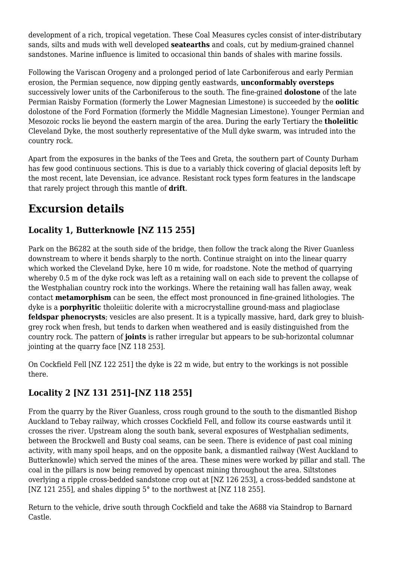development of a rich, tropical vegetation. These Coal Measures cycles consist of inter-distributary sands, silts and muds with well developed **seatearths** and coals, cut by medium-grained channel sandstones. Marine influence is limited to occasional thin bands of shales with marine fossils.

Following the Variscan Orogeny and a prolonged period of late Carboniferous and early Permian erosion, the Permian sequence, now dipping gently eastwards, **unconformably oversteps** successively lower units of the Carboniferous to the south. The fine-grained **dolostone** of the late Permian Raisby Formation (formerly the Lower Magnesian Limestone) is succeeded by the **oolitic** dolostone of the Ford Formation (formerly the Middle Magnesian Limestone). Younger Permian and Mesozoic rocks lie beyond the eastern margin of the area. During the early Tertiary the **tholeiitic** Cleveland Dyke, the most southerly representative of the Mull dyke swarm, was intruded into the country rock.

Apart from the exposures in the banks of the Tees and Greta, the southern part of County Durham has few good continuous sections. This is due to a variably thick covering of glacial deposits left by the most recent, late Devensian, ice advance. Resistant rock types form features in the landscape that rarely project through this mantle of **drift**.

# **Excursion details**

### **Locality 1, Butterknowle [NZ 115 255]**

Park on the B6282 at the south side of the bridge, then follow the track along the River Guanless downstream to where it bends sharply to the north. Continue straight on into the linear quarry which worked the Cleveland Dyke, here 10 m wide, for roadstone. Note the method of quarrying whereby 0.5 m of the dyke rock was left as a retaining wall on each side to prevent the collapse of the Westphalian country rock into the workings. Where the retaining wall has fallen away, weak contact **metamorphism** can be seen, the effect most pronounced in fine-grained lithologies. The dyke is a **porphyritic** tholeiitic dolerite with a microcrystalline ground-mass and plagioclase **feldspar phenocrysts**; vesicles are also present. It is a typically massive, hard, dark grey to bluishgrey rock when fresh, but tends to darken when weathered and is easily distinguished from the country rock. The pattern of **joints** is rather irregular but appears to be sub-horizontal columnar jointing at the quarry face [NZ 118 253].

On Cockfield Fell [NZ 122 251] the dyke is 22 m wide, but entry to the workings is not possible there.

# **Locality 2 [NZ 131 251]–[NZ 118 255]**

From the quarry by the River Guanless, cross rough ground to the south to the dismantled Bishop Auckland to Tebay railway, which crosses Cockfield Fell, and follow its course eastwards until it crosses the river. Upstream along the south bank, several exposures of Westphalian sediments, between the Brockwell and Busty coal seams, can be seen. There is evidence of past coal mining activity, with many spoil heaps, and on the opposite bank, a dismantled railway (West Auckland to Butterknowle) which served the mines of the area. These mines were worked by pillar and stall. The coal in the pillars is now being removed by opencast mining throughout the area. Siltstones overlying a ripple cross-bedded sandstone crop out at [NZ 126 253], a cross-bedded sandstone at [NZ 121 255], and shales dipping 5° to the northwest at [NZ 118 255].

Return to the vehicle, drive south through Cockfield and take the A688 via Staindrop to Barnard Castle.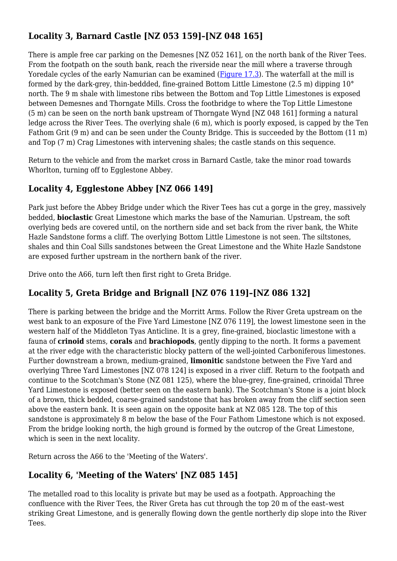# **Locality 3, Barnard Castle [NZ 053 159]–[NZ 048 165]**

There is ample free car parking on the Demesnes [NZ 052 161], on the north bank of the River Tees. From the footpath on the south bank, reach the riverside near the mill where a traverse through Yoredale cycles of the early Namurian can be examined ([Figure 17.3](http://earthwise.bgs.ac.uk/index.php/File:YGS_NORTROCK_FIG_17_3.jpg)). The waterfall at the mill is formed by the dark-grey, thin-beddded, fine-grained Bottom Little Limestone (2.5 m) dipping 10° north. The 9 m shale with limestone ribs between the Bottom and Top Little Limestones is exposed between Demesnes and Thorngate Mills. Cross the footbridge to where the Top Little Limestone (5 m) can be seen on the north bank upstream of Thorngate Wynd [NZ 048 161] forming a natural ledge across the River Tees. The overlying shale (6 m), which is poorly exposed, is capped by the Ten Fathom Grit (9 m) and can be seen under the County Bridge. This is succeeded by the Bottom (11 m) and Top (7 m) Crag Limestones with intervening shales; the castle stands on this sequence.

Return to the vehicle and from the market cross in Barnard Castle, take the minor road towards Whorlton, turning off to Egglestone Abbey.

### **Locality 4, Egglestone Abbey [NZ 066 149]**

Park just before the Abbey Bridge under which the River Tees has cut a gorge in the grey, massively bedded, **bioclastic** Great Limestone which marks the base of the Namurian. Upstream, the soft overlying beds are covered until, on the northern side and set back from the river bank, the White Hazle Sandstone forms a cliff. The overlying Bottom Little Limestone is not seen. The siltstones, shales and thin Coal Sills sandstones between the Great Limestone and the White Hazle Sandstone are exposed further upstream in the northern bank of the river.

Drive onto the A66, turn left then first right to Greta Bridge.

### **Locality 5, Greta Bridge and Brignall [NZ 076 119]–[NZ 086 132]**

There is parking between the bridge and the Morritt Arms. Follow the River Greta upstream on the west bank to an exposure of the Five Yard Limestone [NZ 076 119], the lowest limestone seen in the western half of the Middleton Tyas Anticline. It is a grey, fine-grained, bioclastic limestone with a fauna of **crinoid** stems, **corals** and **brachiopods**, gently dipping to the north. It forms a pavement at the river edge with the characteristic blocky pattern of the well-jointed Carboniferous limestones. Further downstream a brown, medium-grained, **limonitic** sandstone between the Five Yard and overlying Three Yard Limestones [NZ 078 124] is exposed in a river cliff. Return to the footpath and continue to the Scotchman's Stone (NZ 081 125), where the blue-grey, fine-grained, crinoidal Three Yard Limestone is exposed (better seen on the eastern bank). The Scotchman's Stone is a joint block of a brown, thick bedded, coarse-grained sandstone that has broken away from the cliff section seen above the eastern bank. It is seen again on the opposite bank at NZ 085 128. The top of this sandstone is approximately 8 m below the base of the Four Fathom Limestone which is not exposed. From the bridge looking north, the high ground is formed by the outcrop of the Great Limestone, which is seen in the next locality.

Return across the A66 to the 'Meeting of the Waters'.

### **Locality 6, 'Meeting of the Waters' [NZ 085 145]**

The metalled road to this locality is private but may be used as a footpath. Approaching the confluence with the River Tees, the River Greta has cut through the top 20 m of the east–west striking Great Limestone, and is generally flowing down the gentle northerly dip slope into the River Tees.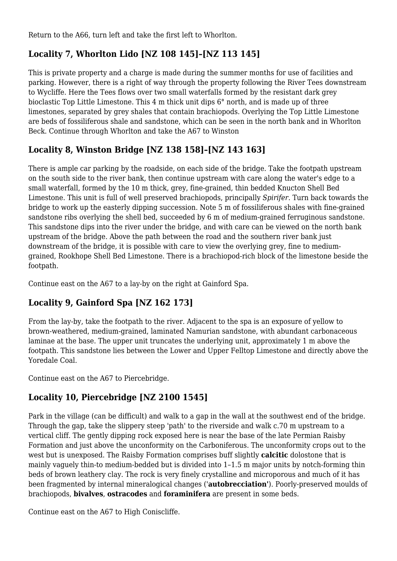Return to the A66, turn left and take the first left to Whorlton.

# **Locality 7, Whorlton Lido [NZ 108 145]–[NZ 113 145]**

This is private property and a charge is made during the summer months for use of facilities and parking. However, there is a right of way through the property following the River Tees downstream to Wycliffe. Here the Tees flows over two small waterfalls formed by the resistant dark grey bioclastic Top Little Limestone. This 4 m thick unit dips 6° north, and is made up of three limestones, separated by grey shales that contain brachiopods. Overlying the Top Little Limestone are beds of fossiliferous shale and sandstone, which can be seen in the north bank and in Whorlton Beck. Continue through Whorlton and take the A67 to Winston

### **Locality 8, Winston Bridge [NZ 138 158]–[NZ 143 163]**

There is ample car parking by the roadside, on each side of the bridge. Take the footpath upstream on the south side to the river bank, then continue upstream with care along the water's edge to a small waterfall, formed by the 10 m thick, grey, fine-grained, thin bedded Knucton Shell Bed Limestone. This unit is full of well preserved brachiopods, principally *Spirifer.* Turn back towards the bridge to work up the easterly dipping succession. Note 5 m of fossiliferous shales with fine-grained sandstone ribs overlying the shell bed, succeeded by 6 m of medium-grained ferruginous sandstone. This sandstone dips into the river under the bridge, and with care can be viewed on the north bank upstream of the bridge. Above the path between the road and the southern river bank just downstream of the bridge, it is possible with care to view the overlying grey, fine to mediumgrained, Rookhope Shell Bed Limestone. There is a brachiopod-rich block of the limestone beside the footpath.

Continue east on the A67 to a lay-by on the right at Gainford Spa.

# **Locality 9, Gainford Spa [NZ 162 173]**

From the lay-by, take the footpath to the river. Adjacent to the spa is an exposure of yellow to brown-weathered, medium-grained, laminated Namurian sandstone, with abundant carbonaceous laminae at the base. The upper unit truncates the underlying unit, approximately 1 m above the footpath. This sandstone lies between the Lower and Upper Felltop Limestone and directly above the Yoredale Coal.

Continue east on the A67 to Piercebridge.

### **Locality 10, Piercebridge [NZ 2100 1545]**

Park in the village (can be difficult) and walk to a gap in the wall at the southwest end of the bridge. Through the gap, take the slippery steep 'path' to the riverside and walk c.70 m upstream to a vertical cliff. The gently dipping rock exposed here is near the base of the late Permian Raisby Formation and just above the unconformity on the Carboniferous. The unconformity crops out to the west but is unexposed. The Raisby Formation comprises buff slightly **calcitic** dolostone that is mainly vaguely thin-to medium-bedded but is divided into 1–1.5 m major units by notch-forming thin beds of brown leathery clay. The rock is very finely crystalline and microporous and much of it has been fragmented by internal mineralogical changes ('**autobrecciation'**). Poorly-preserved moulds of brachiopods, **bivalves**, **ostracodes** and **foraminifera** are present in some beds.

Continue east on the A67 to High Coniscliffe.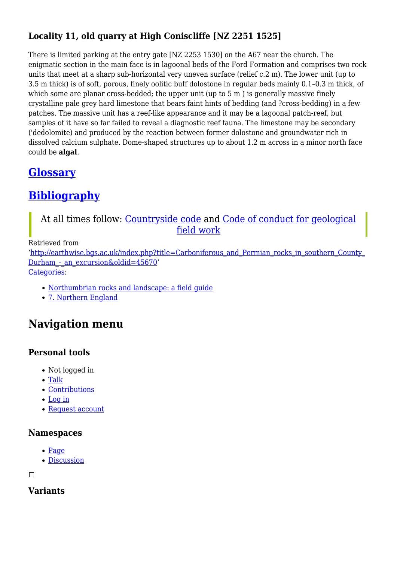# **Locality 11, old quarry at High Coniscliffe [NZ 2251 1525]**

There is limited parking at the entry gate [NZ 2253 1530] on the A67 near the church. The enigmatic section in the main face is in lagoonal beds of the Ford Formation and comprises two rock units that meet at a sharp sub-horizontal very uneven surface (relief c.2 m). The lower unit (up to 3.5 m thick) is of soft, porous, finely oolitic buff dolostone in regular beds mainly 0.1–0.3 m thick, of which some are planar cross-bedded; the upper unit (up to 5 m) is generally massive finely crystalline pale grey hard limestone that bears faint hints of bedding (and ?cross-bedding) in a few patches. The massive unit has a reef-like appearance and it may be a lagoonal patch-reef, but samples of it have so far failed to reveal a diagnostic reef fauna. The limestone may be secondary ('dedolomite) and produced by the reaction between former dolostone and groundwater rich in dissolved calcium sulphate. Dome-shaped structures up to about 1.2 m across in a minor north face could be **algal**.

# **[Glossary](http://earthwise.bgs.ac.uk/index.php/Northumbrian_rocks_and_landscape:_a_field_guide#Glossary)**

# **[Bibliography](http://earthwise.bgs.ac.uk/index.php/Northumbrian_rocks_and_landscape:_a_field_guide#Bibliography)**

### At all times follow: [Countryside code](https://www.gov.uk/government/publications/the-countryside-code) and [Code of conduct for geological](https://www.scottishgeology.com/where-to-go/geological-fieldwork-code/) [field work](https://www.scottishgeology.com/where-to-go/geological-fieldwork-code/)

#### Retrieved from

'[http://earthwise.bgs.ac.uk/index.php?title=Carboniferous\\_and\\_Permian\\_rocks\\_in\\_southern\\_County\\_](http://earthwise.bgs.ac.uk/index.php?title=Carboniferous_and_Permian_rocks_in_southern_County_Durham_-_an_excursion&oldid=45670) Durham - an excursion&oldid=45670' [Categories:](http://earthwise.bgs.ac.uk/index.php/Special:Categories)

- [Northumbrian rocks and landscape: a field guide](http://earthwise.bgs.ac.uk/index.php/Category:Northumbrian_rocks_and_landscape:_a_field_guide)
- [7. Northern England](http://earthwise.bgs.ac.uk/index.php/Category:7._Northern_England)

# **Navigation menu**

### **Personal tools**

- Not logged in
- [Talk](http://earthwise.bgs.ac.uk/index.php/Special:MyTalk)
- [Contributions](http://earthwise.bgs.ac.uk/index.php/Special:MyContributions)
- [Log in](http://earthwise.bgs.ac.uk/index.php?title=Special:UserLogin&returnto=Carboniferous+and+Permian+rocks+in+southern+County+Durham+-+an+excursion&returntoquery=action%3Dmpdf)
- [Request account](http://earthwise.bgs.ac.uk/index.php/Special:RequestAccount)

#### **Namespaces**

- [Page](http://earthwise.bgs.ac.uk/index.php/Carboniferous_and_Permian_rocks_in_southern_County_Durham_-_an_excursion)
- [Discussion](http://earthwise.bgs.ac.uk/index.php?title=Talk:Carboniferous_and_Permian_rocks_in_southern_County_Durham_-_an_excursion&action=edit&redlink=1)

 $\Box$ 

**Variants**